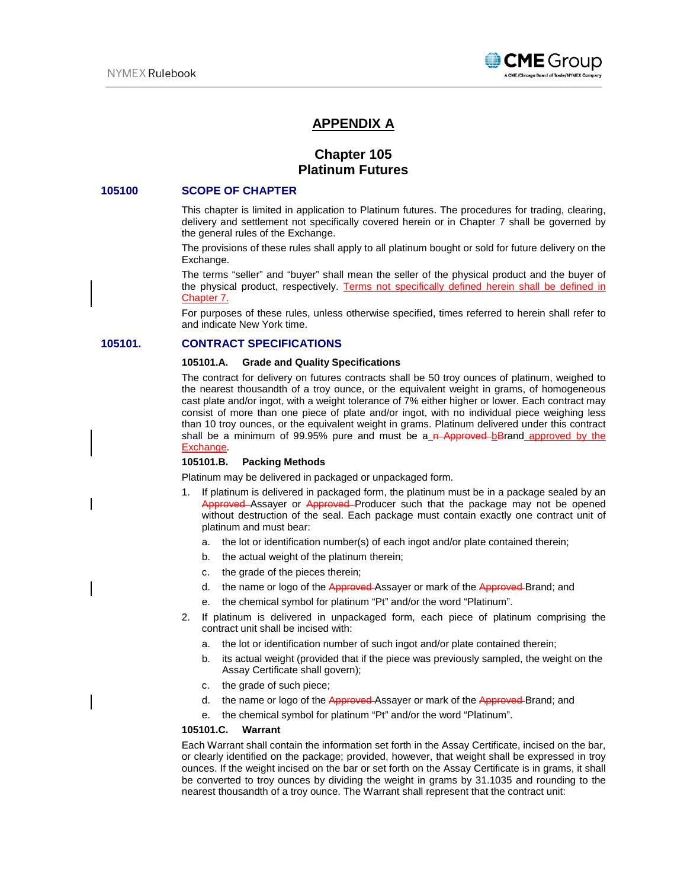

# **APPENDIX A**

# **Chapter 105 Platinum Futures**

### **105100 SCOPE OF CHAPTER**

This chapter is limited in application to Platinum futures. The procedures for trading, clearing, delivery and settlement not specifically covered herein or in Chapter 7 shall be governed by the general rules of the Exchange.

The provisions of these rules shall apply to all platinum bought or sold for future delivery on the Exchange.

The terms "seller" and "buyer" shall mean the seller of the physical product and the buyer of the physical product, respectively. Terms not specifically defined herein shall be defined in Chapter 7.

For purposes of these rules, unless otherwise specified, times referred to herein shall refer to and indicate New York time.

## **105101. CONTRACT SPECIFICATIONS**

#### **105101.A. Grade and Quality Specifications**

The contract for delivery on futures contracts shall be 50 troy ounces of platinum, weighed to the nearest thousandth of a troy ounce, or the equivalent weight in grams, of homogeneous cast plate and/or ingot, with a weight tolerance of 7% either higher or lower. Each contract may consist of more than one piece of plate and/or ingot, with no individual piece weighing less than 10 troy ounces, or the equivalent weight in grams. Platinum delivered under this contract shall be a minimum of 99.95% pure and must be a  $n$ -Approved-bBrand approved by the Exchange.

### **105101.B. Packing Methods**

Platinum may be delivered in packaged or unpackaged form.

- 1. If platinum is delivered in packaged form, the platinum must be in a package sealed by an Approved Assayer or Approved Producer such that the package may not be opened without destruction of the seal. Each package must contain exactly one contract unit of platinum and must bear:
	- a. the lot or identification number(s) of each ingot and/or plate contained therein;
	- b. the actual weight of the platinum therein;
	- c. the grade of the pieces therein;
	- d. the name or logo of the Approved-Assayer or mark of the Approved-Brand; and
	- e. the chemical symbol for platinum "Pt" and/or the word "Platinum".
- 2. If platinum is delivered in unpackaged form, each piece of platinum comprising the contract unit shall be incised with:
	- a. the lot or identification number of such ingot and/or plate contained therein;
	- b. its actual weight (provided that if the piece was previously sampled, the weight on the Assay Certificate shall govern);
	- c. the grade of such piece;
	- d. the name or logo of the Approved-Assayer or mark of the Approved-Brand; and
	- e. the chemical symbol for platinum "Pt" and/or the word "Platinum".

#### **105101.C. Warrant**

Each Warrant shall contain the information set forth in the Assay Certificate, incised on the bar, or clearly identified on the package; provided, however, that weight shall be expressed in troy ounces. If the weight incised on the bar or set forth on the Assay Certificate is in grams, it shall be converted to troy ounces by dividing the weight in grams by 31.1035 and rounding to the nearest thousandth of a troy ounce. The Warrant shall represent that the contract unit: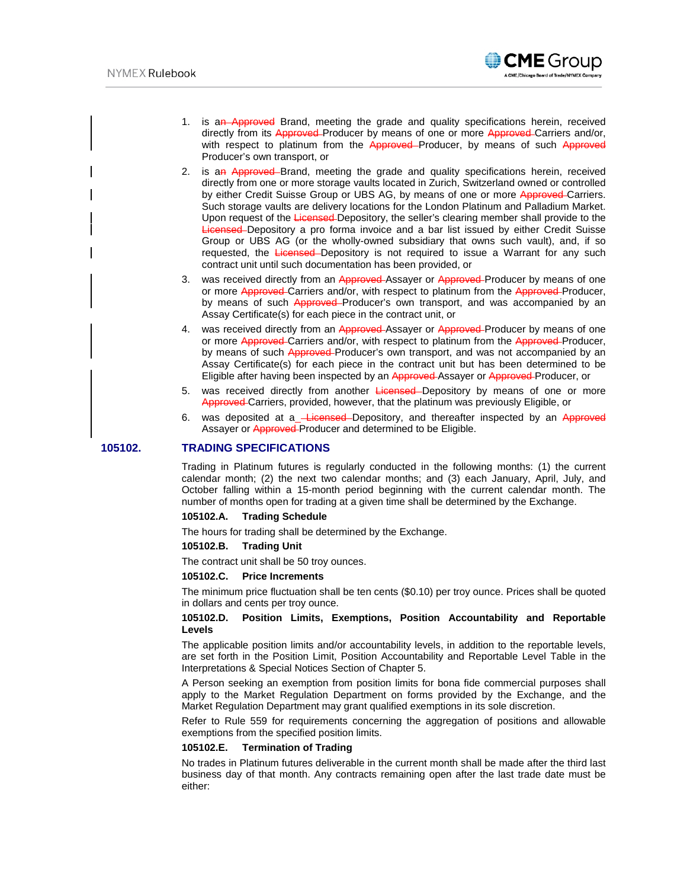

- 1. is an Approved Brand, meeting the grade and quality specifications herein, received directly from its Approved-Producer by means of one or more Approved-Carriers and/or, with respect to platinum from the Approved-Producer, by means of such Approved Producer's own transport, or
- 2. is an Approved–Brand, meeting the grade and quality specifications herein, received directly from one or more storage vaults located in Zurich, Switzerland owned or controlled by either Credit Suisse Group or UBS AG, by means of one or more Approved-Carriers. Such storage vaults are delivery locations for the London Platinum and Palladium Market. Upon request of the Licensed Depository, the seller's clearing member shall provide to the Licensed Depository a pro forma invoice and a bar list issued by either Credit Suisse Group or UBS AG (or the wholly-owned subsidiary that owns such vault), and, if so requested, the Licensed-Depository is not required to issue a Warrant for any such contract unit until such documentation has been provided, or
- 3. was received directly from an Approved Assayer or Approved Producer by means of one or more Approved Carriers and/or, with respect to platinum from the Approved Producer, by means of such Approved-Producer's own transport, and was accompanied by an Assay Certificate(s) for each piece in the contract unit, or
- 4. was received directly from an Approved Assayer or Approved Producer by means of one or more Approved Carriers and/or, with respect to platinum from the Approved Producer, by means of such Approved-Producer's own transport, and was not accompanied by an Assay Certificate(s) for each piece in the contract unit but has been determined to be Eligible after having been inspected by an Approved Assayer or Approved Producer, or
- 5. was received directly from another Licensed-Depository by means of one or more Approved Carriers, provided, however, that the platinum was previously Eligible, or
- 6. was deposited at a **-Licensed**-Depository, and thereafter inspected by an Approved Assayer or Approved-Producer and determined to be Eligible.

#### **105102. TRADING SPECIFICATIONS**

Trading in Platinum futures is regularly conducted in the following months: (1) the current calendar month; (2) the next two calendar months; and (3) each January, April, July, and October falling within a 15-month period beginning with the current calendar month. The number of months open for trading at a given time shall be determined by the Exchange.

#### **105102.A. Trading Schedule**

The hours for trading shall be determined by the Exchange.

#### **105102.B. Trading Unit**

The contract unit shall be 50 troy ounces.

### **105102.C. Price Increments**

The minimum price fluctuation shall be ten cents (\$0.10) per troy ounce. Prices shall be quoted in dollars and cents per troy ounce.

## **105102.D. Position Limits, Exemptions, Position Accountability and Reportable Levels**

The applicable position limits and/or accountability levels, in addition to the reportable levels, are set forth in the Position Limit, Position Accountability and Reportable Level Table in the Interpretations & Special Notices Section of Chapter 5.

A Person seeking an exemption from position limits for bona fide commercial purposes shall apply to the Market Regulation Department on forms provided by the Exchange, and the Market Regulation Department may grant qualified exemptions in its sole discretion.

Refer to Rule 559 for requirements concerning the aggregation of positions and allowable exemptions from the specified position limits.

## **105102.E. Termination of Trading**

No trades in Platinum futures deliverable in the current month shall be made after the third last business day of that month. Any contracts remaining open after the last trade date must be either: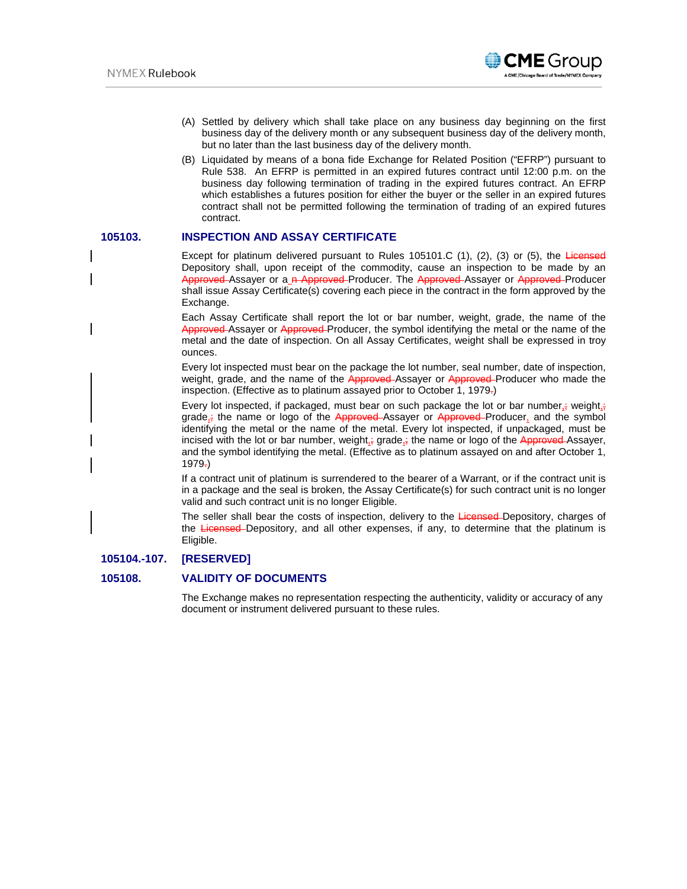

- (A) Settled by delivery which shall take place on any business day beginning on the first business day of the delivery month or any subsequent business day of the delivery month, but no later than the last business day of the delivery month.
- (B) Liquidated by means of a bona fide Exchange for Related Position ("EFRP") pursuant to Rule 538. An EFRP is permitted in an expired futures contract until 12:00 p.m. on the business day following termination of trading in the expired futures contract. An EFRP which establishes a futures position for either the buyer or the seller in an expired futures contract shall not be permitted following the termination of trading of an expired futures contract.

## **105103. INSPECTION AND ASSAY CERTIFICATE**

Except for platinum delivered pursuant to Rules 105101.C  $(1)$ ,  $(2)$ ,  $(3)$  or  $(5)$ , the Licensed Depository shall, upon receipt of the commodity, cause an inspection to be made by an Approved Assayer or a n Approved Producer. The Approved Assayer or Approved Producer shall issue Assay Certificate(s) covering each piece in the contract in the form approved by the Exchange.

Each Assay Certificate shall report the lot or bar number, weight, grade, the name of the Approved Assayer or Approved Producer, the symbol identifying the metal or the name of the metal and the date of inspection. On all Assay Certificates, weight shall be expressed in troy ounces.

Every lot inspected must bear on the package the lot number, seal number, date of inspection, weight, grade, and the name of the Approved Assayer or Approved Producer who made the inspection. (Effective as to platinum assayed prior to October 1, 1979.)

Every lot inspected, if packaged, must bear on such package the lot or bar number,; weight,; grade, $\frac{1}{3}$  the name or logo of the Approved-Assayer or Approved-Producer, and the symbol identifying the metal or the name of the metal. Every lot inspected, if unpackaged, must be incised with the lot or bar number, weight, grade, the name or logo of the Approved Assayer, and the symbol identifying the metal. (Effective as to platinum assayed on and after October 1,  $1979<sub>z</sub>$ 

If a contract unit of platinum is surrendered to the bearer of a Warrant, or if the contract unit is in a package and the seal is broken, the Assay Certificate(s) for such contract unit is no longer valid and such contract unit is no longer Eligible.

The seller shall bear the costs of inspection, delivery to the Licensed-Depository, charges of the Licensed-Depository, and all other expenses, if any, to determine that the platinum is Eligible.

## **105104.-107. [RESERVED]**

## **105108. VALIDITY OF DOCUMENTS**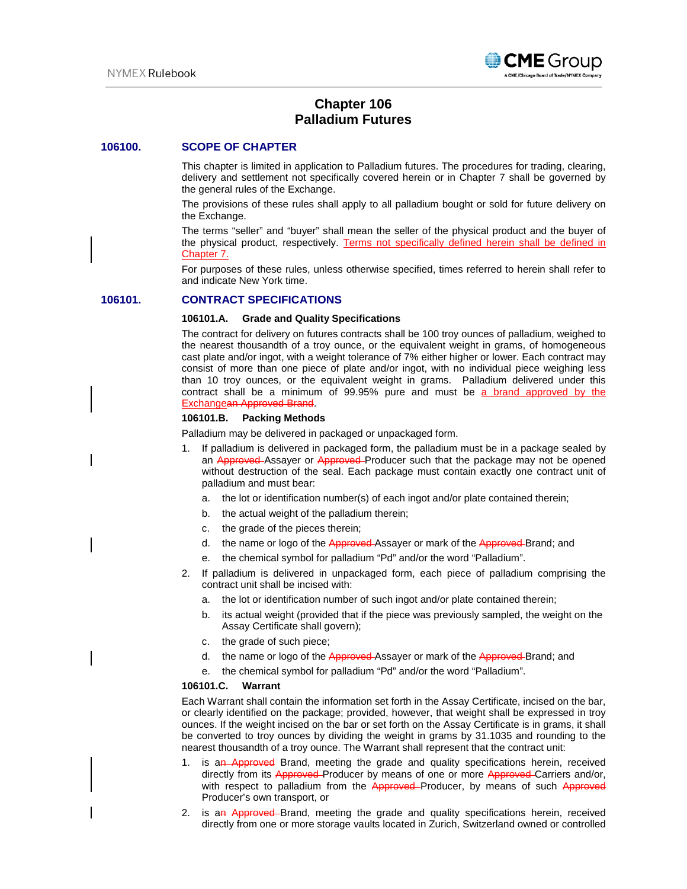

# **Chapter 106 Palladium Futures**

### **106100. SCOPE OF CHAPTER**

This chapter is limited in application to Palladium futures. The procedures for trading, clearing, delivery and settlement not specifically covered herein or in Chapter 7 shall be governed by the general rules of the Exchange.

The provisions of these rules shall apply to all palladium bought or sold for future delivery on the Exchange.

The terms "seller" and "buyer" shall mean the seller of the physical product and the buyer of the physical product, respectively. Terms not specifically defined herein shall be defined in Chapter 7.

For purposes of these rules, unless otherwise specified, times referred to herein shall refer to and indicate New York time.

### **106101. CONTRACT SPECIFICATIONS**

#### **106101.A. Grade and Quality Specifications**

The contract for delivery on futures contracts shall be 100 troy ounces of palladium, weighed to the nearest thousandth of a troy ounce, or the equivalent weight in grams, of homogeneous cast plate and/or ingot, with a weight tolerance of 7% either higher or lower. Each contract may consist of more than one piece of plate and/or ingot, with no individual piece weighing less than 10 troy ounces, or the equivalent weight in grams. Palladium delivered under this contract shall be a minimum of 99.95% pure and must be a brand approved by the Exchangean Approved Brand.

#### **106101.B. Packing Methods**

Palladium may be delivered in packaged or unpackaged form.

- 1. If palladium is delivered in packaged form, the palladium must be in a package sealed by an Approved Assayer or Approved Producer such that the package may not be opened without destruction of the seal. Each package must contain exactly one contract unit of palladium and must bear:
	- a. the lot or identification number(s) of each ingot and/or plate contained therein;
	- b. the actual weight of the palladium therein;
	- c. the grade of the pieces therein;
	- d. the name or logo of the Approved-Assayer or mark of the Approved-Brand; and
	- e. the chemical symbol for palladium "Pd" and/or the word "Palladium".
- 2. If palladium is delivered in unpackaged form, each piece of palladium comprising the contract unit shall be incised with:
	- a. the lot or identification number of such ingot and/or plate contained therein;
	- b. its actual weight (provided that if the piece was previously sampled, the weight on the Assay Certificate shall govern);
	- c. the grade of such piece;
	- d. the name or logo of the Approved-Assayer or mark of the Approved-Brand; and
	- e. the chemical symbol for palladium "Pd" and/or the word "Palladium".

### **106101.C. Warrant**

Each Warrant shall contain the information set forth in the Assay Certificate, incised on the bar, or clearly identified on the package; provided, however, that weight shall be expressed in troy ounces. If the weight incised on the bar or set forth on the Assay Certificate is in grams, it shall be converted to troy ounces by dividing the weight in grams by 31.1035 and rounding to the nearest thousandth of a troy ounce. The Warrant shall represent that the contract unit:

- 1. is an Approved Brand, meeting the grade and quality specifications herein, received directly from its Approved Producer by means of one or more Approved Carriers and/or, with respect to palladium from the Approved–Producer, by means of such Approved Producer's own transport, or
- 2. is an Approved Brand, meeting the grade and quality specifications herein, received directly from one or more storage vaults located in Zurich, Switzerland owned or controlled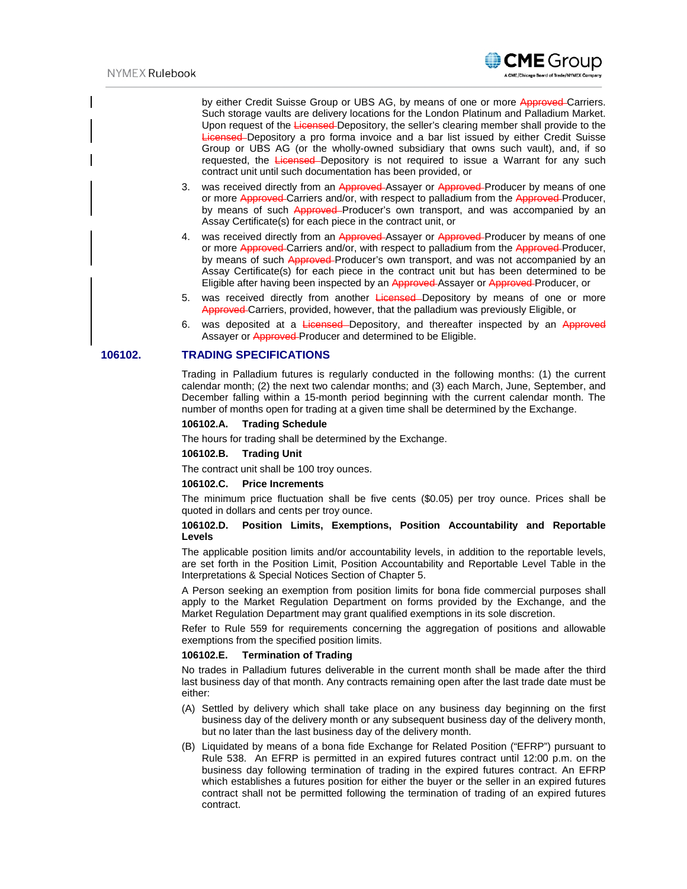

by either Credit Suisse Group or UBS AG, by means of one or more Approved-Carriers. Such storage vaults are delivery locations for the London Platinum and Palladium Market. Upon request of the Licensed-Depository, the seller's clearing member shall provide to the Licensed Depository a pro forma invoice and a bar list issued by either Credit Suisse Group or UBS AG (or the wholly-owned subsidiary that owns such vault), and, if so requested, the Licensed-Depository is not required to issue a Warrant for any such contract unit until such documentation has been provided, or

- 3. was received directly from an Approved Assayer or Approved Producer by means of one or more Approved Carriers and/or, with respect to palladium from the Approved Producer, by means of such Approved–Producer's own transport, and was accompanied by an Assay Certificate(s) for each piece in the contract unit, or
- 4. was received directly from an Approved-Assayer or Approved-Producer by means of one or more Approved Carriers and/or, with respect to palladium from the Approved Producer, by means of such Approved-Producer's own transport, and was not accompanied by an Assay Certificate(s) for each piece in the contract unit but has been determined to be Eligible after having been inspected by an Approved Assayer or Approved Producer, or
- 5. was received directly from another Licensed-Depository by means of one or more Approved Carriers, provided, however, that the palladium was previously Eligible, or
- 6. was deposited at a Licensed-Depository, and thereafter inspected by an Approved Assayer or **Approved**-Producer and determined to be Eligible.

### **106102. TRADING SPECIFICATIONS**

Trading in Palladium futures is regularly conducted in the following months: (1) the current calendar month; (2) the next two calendar months; and (3) each March, June, September, and December falling within a 15-month period beginning with the current calendar month. The number of months open for trading at a given time shall be determined by the Exchange.

#### **106102.A. Trading Schedule**

The hours for trading shall be determined by the Exchange.

#### **106102.B. Trading Unit**

The contract unit shall be 100 troy ounces.

### **106102.C. Price Increments**

The minimum price fluctuation shall be five cents (\$0.05) per troy ounce. Prices shall be quoted in dollars and cents per troy ounce.

## **106102.D. Position Limits, Exemptions, Position Accountability and Reportable Levels**

The applicable position limits and/or accountability levels, in addition to the reportable levels, are set forth in the Position Limit, Position Accountability and Reportable Level Table in the Interpretations & Special Notices Section of Chapter 5.

A Person seeking an exemption from position limits for bona fide commercial purposes shall apply to the Market Regulation Department on forms provided by the Exchange, and the Market Regulation Department may grant qualified exemptions in its sole discretion.

Refer to Rule 559 for requirements concerning the aggregation of positions and allowable exemptions from the specified position limits.

#### **106102.E. Termination of Trading**

No trades in Palladium futures deliverable in the current month shall be made after the third last business day of that month. Any contracts remaining open after the last trade date must be either:

- (A) Settled by delivery which shall take place on any business day beginning on the first business day of the delivery month or any subsequent business day of the delivery month, but no later than the last business day of the delivery month.
- (B) Liquidated by means of a bona fide Exchange for Related Position ("EFRP") pursuant to Rule 538. An EFRP is permitted in an expired futures contract until 12:00 p.m. on the business day following termination of trading in the expired futures contract. An EFRP which establishes a futures position for either the buyer or the seller in an expired futures contract shall not be permitted following the termination of trading of an expired futures contract.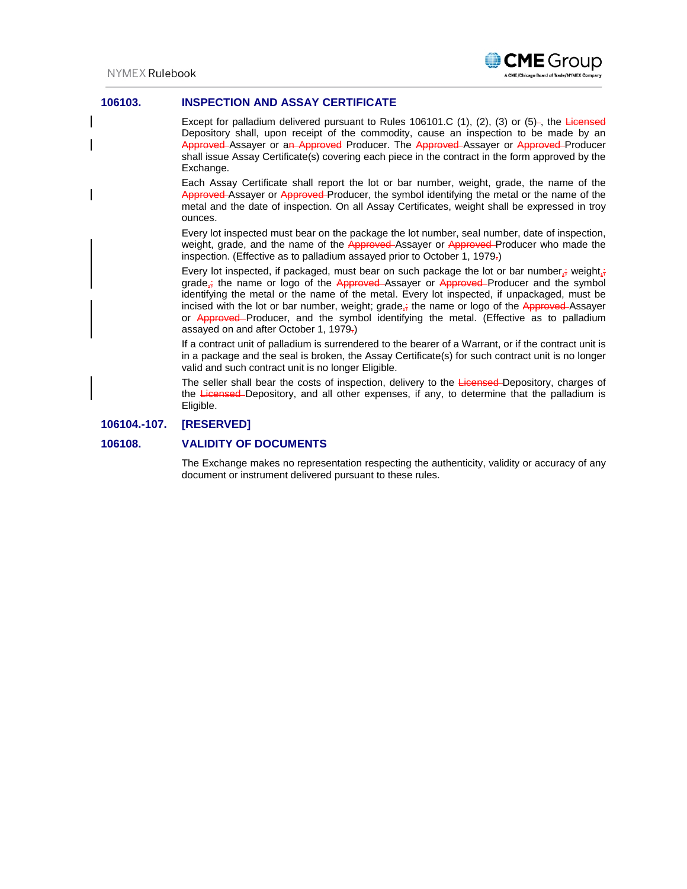

## **106103. INSPECTION AND ASSAY CERTIFICATE**

Except for palladium delivered pursuant to Rules 106101.C (1), (2), (3) or (5)-, the Licensed Depository shall, upon receipt of the commodity, cause an inspection to be made by an Approved Assayer or an Approved Producer. The Approved Assayer or Approved Producer shall issue Assay Certificate(s) covering each piece in the contract in the form approved by the Exchange.

Each Assay Certificate shall report the lot or bar number, weight, grade, the name of the Approved Assayer or Approved Producer, the symbol identifying the metal or the name of the metal and the date of inspection. On all Assay Certificates, weight shall be expressed in troy ounces.

Every lot inspected must bear on the package the lot number, seal number, date of inspection, weight, grade, and the name of the Approved Assayer or Approved Producer who made the inspection. (Effective as to palladium assayed prior to October 1, 1979.)

Every lot inspected, if packaged, must bear on such package the lot or bar number,; weight,; grade $_1$ ; the name or logo of the Approved Assayer or Approved Producer and the symbol identifying the metal or the name of the metal. Every lot inspected, if unpackaged, must be incised with the lot or bar number, weight; grade<sub>is</sub> the name or logo of the Approved-Assayer or Approved-Producer, and the symbol identifying the metal. (Effective as to palladium assayed on and after October 1, 1979.)

If a contract unit of palladium is surrendered to the bearer of a Warrant, or if the contract unit is in a package and the seal is broken, the Assay Certificate(s) for such contract unit is no longer valid and such contract unit is no longer Eligible.

The seller shall bear the costs of inspection, delivery to the Licensed-Depository, charges of the Licensed-Depository, and all other expenses, if any, to determine that the palladium is Eligible.

## **106104.-107. [RESERVED]**

## **106108. VALIDITY OF DOCUMENTS**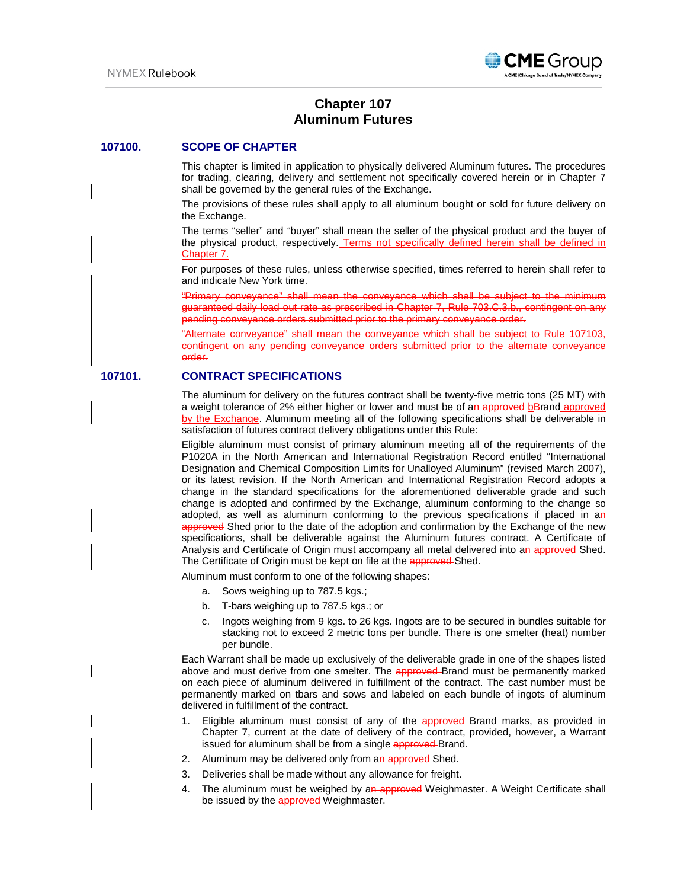

# **Chapter 107 Aluminum Futures**

### **107100. SCOPE OF CHAPTER**

This chapter is limited in application to physically delivered Aluminum futures. The procedures for trading, clearing, delivery and settlement not specifically covered herein or in Chapter 7 shall be governed by the general rules of the Exchange.

The provisions of these rules shall apply to all aluminum bought or sold for future delivery on the Exchange.

The terms "seller" and "buyer" shall mean the seller of the physical product and the buyer of the physical product, respectively. Terms not specifically defined herein shall be defined in Chapter 7.

For purposes of these rules, unless otherwise specified, times referred to herein shall refer to and indicate New York time.

"Primary conveyance" shall mean the conveyance which shall be subject to the minimum guaranteed daily load out rate as prescribed in Chapter 7, Rule 703.C.3.b., contingent on any pending conveyance orders submitted prior to the primary conveyance order.

"Alternate conveyance" shall mean the conveyance which shall be subject to Rule 107103, contingent on any pending conveyance orders submitted prior to the alternate conveyance order.

## **107101. CONTRACT SPECIFICATIONS**

The aluminum for delivery on the futures contract shall be twenty-five metric tons (25 MT) with a weight tolerance of 2% either higher or lower and must be of an approved bBrand approved by the Exchange. Aluminum meeting all of the following specifications shall be deliverable in satisfaction of futures contract delivery obligations under this Rule:

Eligible aluminum must consist of primary aluminum meeting all of the requirements of the P1020A in the North American and International Registration Record entitled "International Designation and Chemical Composition Limits for Unalloyed Aluminum" (revised March 2007), or its latest revision. If the North American and International Registration Record adopts a change in the standard specifications for the aforementioned deliverable grade and such change is adopted and confirmed by the Exchange, aluminum conforming to the change so adopted, as well as aluminum conforming to the previous specifications if placed in an approved Shed prior to the date of the adoption and confirmation by the Exchange of the new specifications, shall be deliverable against the Aluminum futures contract. A Certificate of Analysis and Certificate of Origin must accompany all metal delivered into an approved Shed. The Certificate of Origin must be kept on file at the approved Shed.

Aluminum must conform to one of the following shapes:

- a. Sows weighing up to 787.5 kgs.;
- b. T-bars weighing up to 787.5 kgs.; or
- c. Ingots weighing from 9 kgs. to 26 kgs. Ingots are to be secured in bundles suitable for stacking not to exceed 2 metric tons per bundle. There is one smelter (heat) number per bundle.

Each Warrant shall be made up exclusively of the deliverable grade in one of the shapes listed above and must derive from one smelter. The approved-Brand must be permanently marked on each piece of aluminum delivered in fulfillment of the contract. The cast number must be permanently marked on tbars and sows and labeled on each bundle of ingots of aluminum delivered in fulfillment of the contract.

- 1. Eligible aluminum must consist of any of the approved Brand marks, as provided in Chapter 7, current at the date of delivery of the contract, provided, however, a Warrant issued for aluminum shall be from a single approved Brand.
- 2. Aluminum may be delivered only from an approved Shed.
- 3. Deliveries shall be made without any allowance for freight.
- 4. The aluminum must be weighed by an approved Weighmaster. A Weight Certificate shall be issued by the approved Weighmaster.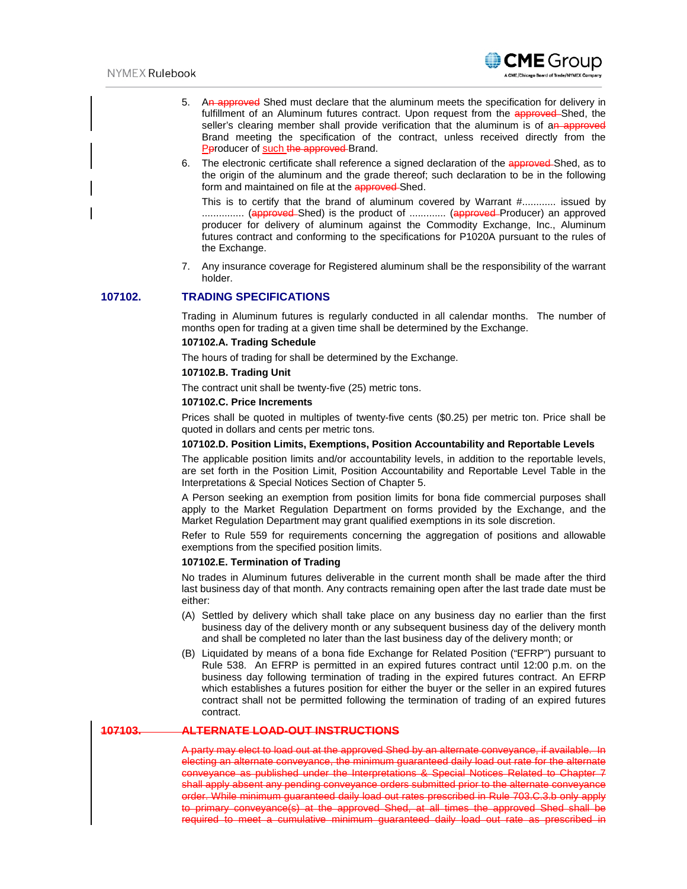

- 5. An approved Shed must declare that the aluminum meets the specification for delivery in fulfillment of an Aluminum futures contract. Upon request from the approved-Shed, the seller's clearing member shall provide verification that the aluminum is of an approved Brand meeting the specification of the contract, unless received directly from the Pproducer of such the approved Brand.
- 6. The electronic certificate shall reference a signed declaration of the approved Shed, as to the origin of the aluminum and the grade thereof; such declaration to be in the following form and maintained on file at the **approved**-Shed.

This is to certify that the brand of aluminum covered by Warrant #............ issued by ............... (approved Shed) is the product of ............. (approved Producer) an approved producer for delivery of aluminum against the Commodity Exchange, Inc., Aluminum futures contract and conforming to the specifications for P1020A pursuant to the rules of the Exchange.

7. Any insurance coverage for Registered aluminum shall be the responsibility of the warrant holder.

## **107102. TRADING SPECIFICATIONS**

Trading in Aluminum futures is regularly conducted in all calendar months. The number of months open for trading at a given time shall be determined by the Exchange.

### **107102.A. Trading Schedule**

The hours of trading for shall be determined by the Exchange.

#### **107102.B. Trading Unit**

The contract unit shall be twenty-five (25) metric tons.

### **107102.C. Price Increments**

Prices shall be quoted in multiples of twenty-five cents (\$0.25) per metric ton. Price shall be quoted in dollars and cents per metric tons.

### **107102.D. Position Limits, Exemptions, Position Accountability and Reportable Levels**

The applicable position limits and/or accountability levels, in addition to the reportable levels, are set forth in the Position Limit, Position Accountability and Reportable Level Table in the Interpretations & Special Notices Section of Chapter 5.

A Person seeking an exemption from position limits for bona fide commercial purposes shall apply to the Market Regulation Department on forms provided by the Exchange, and the Market Regulation Department may grant qualified exemptions in its sole discretion.

Refer to Rule 559 for requirements concerning the aggregation of positions and allowable exemptions from the specified position limits.

#### **107102.E. Termination of Trading**

No trades in Aluminum futures deliverable in the current month shall be made after the third last business day of that month. Any contracts remaining open after the last trade date must be either:

- (A) Settled by delivery which shall take place on any business day no earlier than the first business day of the delivery month or any subsequent business day of the delivery month and shall be completed no later than the last business day of the delivery month; or
- (B) Liquidated by means of a bona fide Exchange for Related Position ("EFRP") pursuant to Rule 538. An EFRP is permitted in an expired futures contract until 12:00 p.m. on the business day following termination of trading in the expired futures contract. An EFRP which establishes a futures position for either the buyer or the seller in an expired futures contract shall not be permitted following the termination of trading of an expired futures contract.

## **107103. ALTERNATE LOAD-OUT INSTRUCTIONS**

A party may elect to load out at the approved Shed by an alternate conveyance, if available. electing an alternate conveyance, the minimum guaranteed daily load out rate for the alternate conveyance as published under the Interpretations & Special Notices Related to Chapter 7 shall apply absent any pending conveyance orders submitted prior to the alternate conveyance order. While minimum guaranteed daily load out rates prescribed in Rule 703.C.3.b only apply to primary conveyance(s) at the approved Shed, at all times the approved Shed shall be required to meet a cumulative minimum guaranteed daily load out rate as prescribed in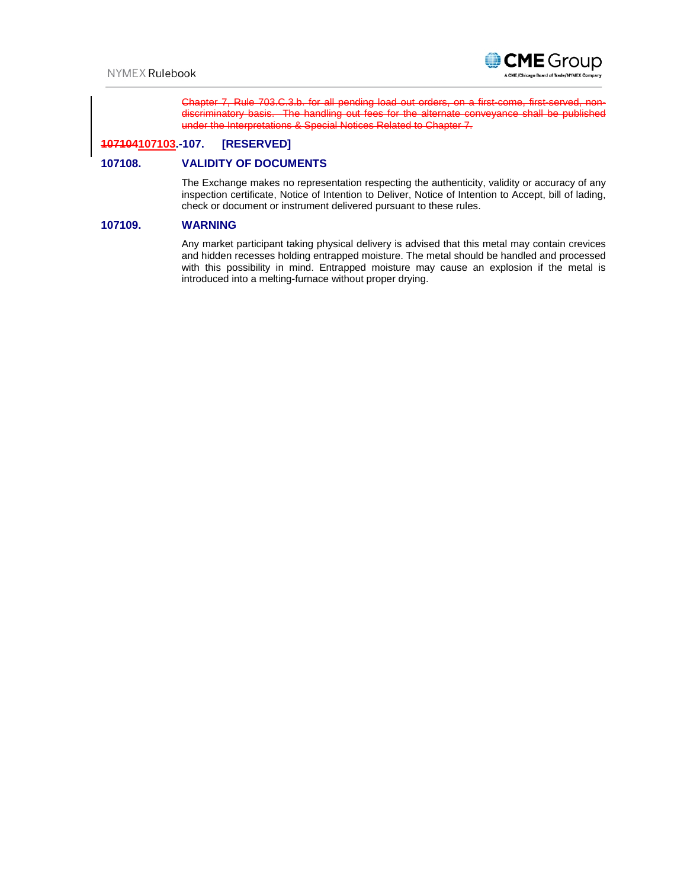

Chapter 7, Rule 703.C.3.b. for all pending load out orders, on a first-come, first-served discriminatory basis. The handling out fees for the alternate conveyance shall be published under the Interpretations & Special Notices Related to Chapter 7.

## **107104107103.-107. [RESERVED]**

## **107108. VALIDITY OF DOCUMENTS**

The Exchange makes no representation respecting the authenticity, validity or accuracy of any inspection certificate, Notice of Intention to Deliver, Notice of Intention to Accept, bill of lading, check or document or instrument delivered pursuant to these rules.

## **107109. WARNING**

Any market participant taking physical delivery is advised that this metal may contain crevices and hidden recesses holding entrapped moisture. The metal should be handled and processed with this possibility in mind. Entrapped moisture may cause an explosion if the metal is introduced into a melting-furnace without proper drying.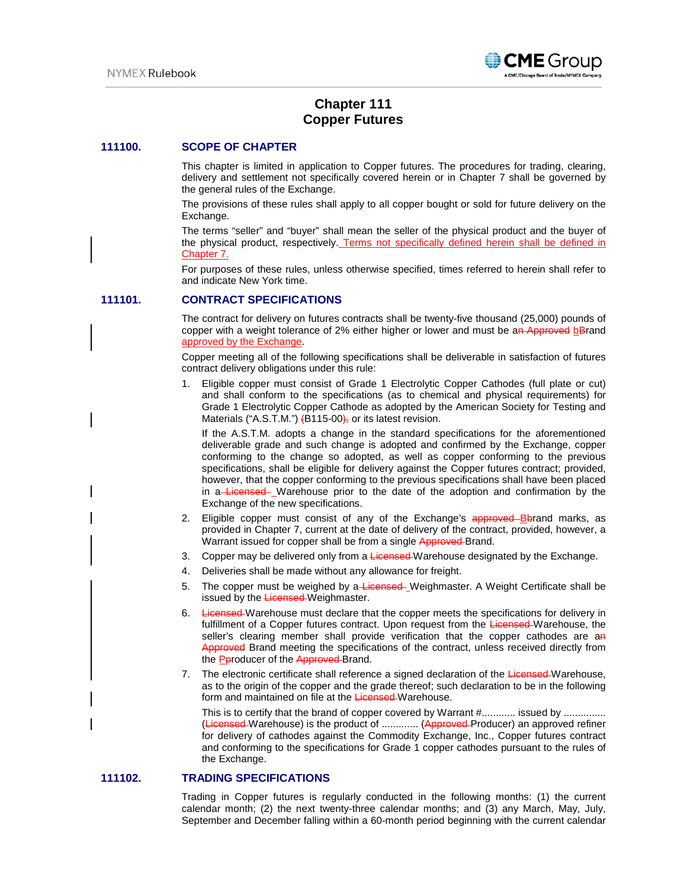

# **Chapter 111 Copper Futures**

## **111100. SCOPE OF CHAPTER**

This chapter is limited in application to Copper futures. The procedures for trading, clearing, delivery and settlement not specifically covered herein or in Chapter 7 shall be governed by the general rules of the Exchange.

The provisions of these rules shall apply to all copper bought or sold for future delivery on the Exchange.

The terms "seller" and "buyer" shall mean the seller of the physical product and the buyer of the physical product, respectively. Terms not specifically defined herein shall be defined in Chapter 7.

For purposes of these rules, unless otherwise specified, times referred to herein shall refer to and indicate New York time.

## **111101. CONTRACT SPECIFICATIONS**

The contract for delivery on futures contracts shall be twenty-five thousand (25,000) pounds of copper with a weight tolerance of 2% either higher or lower and must be an Approved bBrand approved by the Exchange.

Copper meeting all of the following specifications shall be deliverable in satisfaction of futures contract delivery obligations under this rule:

1. Eligible copper must consist of Grade 1 Electrolytic Copper Cathodes (full plate or cut) and shall conform to the specifications (as to chemical and physical requirements) for Grade 1 Electrolytic Copper Cathode as adopted by the American Society for Testing and Materials ("A.S.T.M.")  $\left\{B115-00\right\}$ , or its latest revision.

If the A.S.T.M. adopts a change in the standard specifications for the aforementioned deliverable grade and such change is adopted and confirmed by the Exchange, copper conforming to the change so adopted, as well as copper conforming to the previous specifications, shall be eligible for delivery against the Copper futures contract; provided, however, that the copper conforming to the previous specifications shall have been placed in a Licensed Warehouse prior to the date of the adoption and confirmation by the Exchange of the new specifications.

- Eligible copper must consist of any of the Exchange's approved Bbrand marks, as provided in Chapter 7, current at the date of delivery of the contract, provided, however, a Warrant issued for copper shall be from a single Approved-Brand.
- 3. Copper may be delivered only from a Licensed-Warehouse designated by the Exchange.
- 4. Deliveries shall be made without any allowance for freight.
- 5. The copper must be weighed by a Licensed Weighmaster. A Weight Certificate shall be issued by the Licensed-Weighmaster.
- 6. Licensed Warehouse must declare that the copper meets the specifications for delivery in fulfillment of a Copper futures contract. Upon request from the Licensed Warehouse, the seller's clearing member shall provide verification that the copper cathodes are an Approved Brand meeting the specifications of the contract, unless received directly from the **Pproducer of the Approved-Brand.**
- 7. The electronic certificate shall reference a signed declaration of the Licensed-Warehouse, as to the origin of the copper and the grade thereof; such declaration to be in the following form and maintained on file at the Licensed Warehouse.

This is to certify that the brand of copper covered by Warrant #............ issued by ............... (Licensed Warehouse) is the product of ............. (Approved Producer) an approved refiner for delivery of cathodes against the Commodity Exchange, Inc., Copper futures contract and conforming to the specifications for Grade 1 copper cathodes pursuant to the rules of the Exchange.

## **111102. TRADING SPECIFICATIONS**

Trading in Copper futures is regularly conducted in the following months: (1) the current calendar month; (2) the next twenty-three calendar months; and (3) any March, May, July, September and December falling within a 60-month period beginning with the current calendar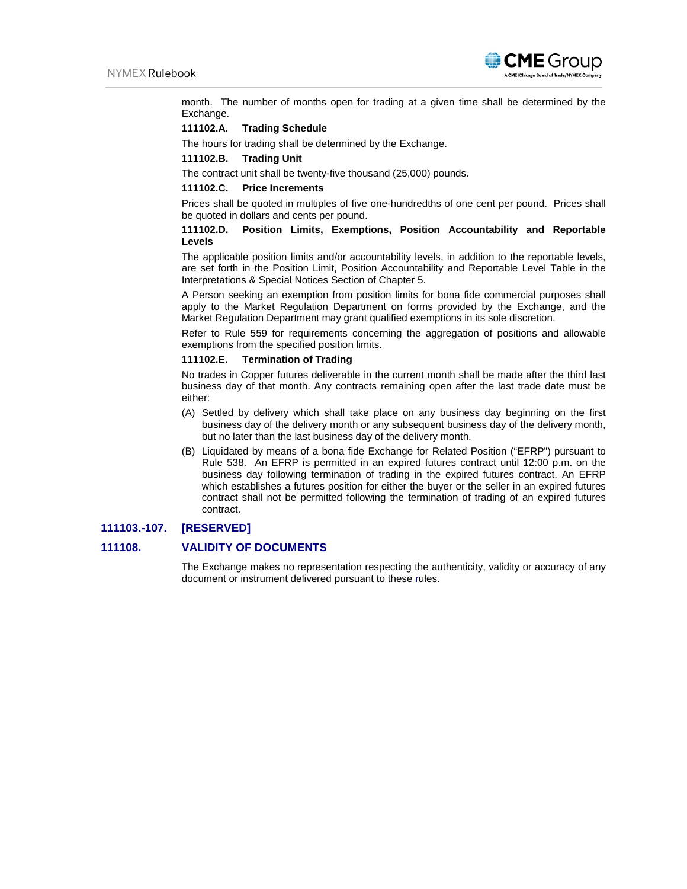

month. The number of months open for trading at a given time shall be determined by the Exchange.

## **111102.A. Trading Schedule**

The hours for trading shall be determined by the Exchange.

### **111102.B. Trading Unit**

The contract unit shall be twenty-five thousand (25,000) pounds.

### **111102.C. Price Increments**

Prices shall be quoted in multiples of five one-hundredths of one cent per pound. Prices shall be quoted in dollars and cents per pound.

## **111102.D. Position Limits, Exemptions, Position Accountability and Reportable Levels**

The applicable position limits and/or accountability levels, in addition to the reportable levels, are set forth in the Position Limit, Position Accountability and Reportable Level Table in the Interpretations & Special Notices Section of Chapter 5.

A Person seeking an exemption from position limits for bona fide commercial purposes shall apply to the Market Regulation Department on forms provided by the Exchange, and the Market Regulation Department may grant qualified exemptions in its sole discretion.

Refer to Rule 559 for requirements concerning the aggregation of positions and allowable exemptions from the specified position limits.

### **111102.E. Termination of Trading**

No trades in Copper futures deliverable in the current month shall be made after the third last business day of that month. Any contracts remaining open after the last trade date must be either:

- (A) Settled by delivery which shall take place on any business day beginning on the first business day of the delivery month or any subsequent business day of the delivery month, but no later than the last business day of the delivery month.
- (B) Liquidated by means of a bona fide Exchange for Related Position ("EFRP") pursuant to Rule 538. An EFRP is permitted in an expired futures contract until 12:00 p.m. on the business day following termination of trading in the expired futures contract. An EFRP which establishes a futures position for either the buyer or the seller in an expired futures contract shall not be permitted following the termination of trading of an expired futures contract.

## **111103.-107. [RESERVED]**

## **111108. VALIDITY OF DOCUMENTS**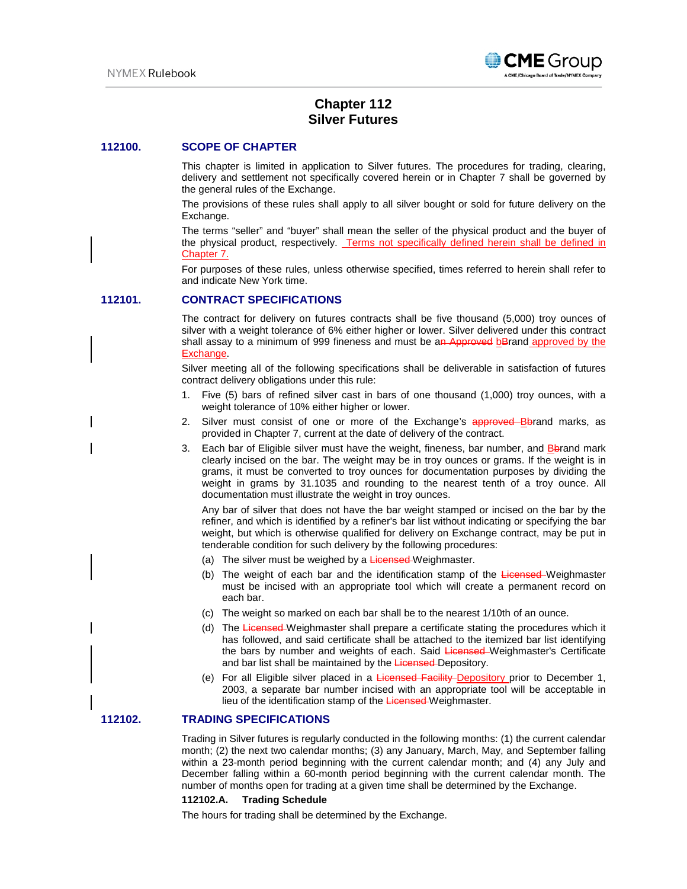

# **Chapter 112 Silver Futures**

### **112100. SCOPE OF CHAPTER**

This chapter is limited in application to Silver futures. The procedures for trading, clearing, delivery and settlement not specifically covered herein or in Chapter 7 shall be governed by the general rules of the Exchange.

The provisions of these rules shall apply to all silver bought or sold for future delivery on the Exchange.

The terms "seller" and "buyer" shall mean the seller of the physical product and the buyer of the physical product, respectively. Terms not specifically defined herein shall be defined in Chapter 7.

For purposes of these rules, unless otherwise specified, times referred to herein shall refer to and indicate New York time.

### **112101. CONTRACT SPECIFICATIONS**

The contract for delivery on futures contracts shall be five thousand (5,000) troy ounces of silver with a weight tolerance of 6% either higher or lower. Silver delivered under this contract shall assay to a minimum of 999 fineness and must be an Approved bBrand approved by the Exchange.

Silver meeting all of the following specifications shall be deliverable in satisfaction of futures contract delivery obligations under this rule:

- 1. Five (5) bars of refined silver cast in bars of one thousand (1,000) troy ounces, with a weight tolerance of 10% either higher or lower.
- 2. Silver must consist of one or more of the Exchange's approved Bbrand marks, as provided in Chapter 7, current at the date of delivery of the contract.
- 3. Each bar of Eligible silver must have the weight, fineness, bar number, and **B**brand mark clearly incised on the bar. The weight may be in troy ounces or grams. If the weight is in grams, it must be converted to troy ounces for documentation purposes by dividing the weight in grams by 31.1035 and rounding to the nearest tenth of a troy ounce. All documentation must illustrate the weight in troy ounces.

Any bar of silver that does not have the bar weight stamped or incised on the bar by the refiner, and which is identified by a refiner's bar list without indicating or specifying the bar weight, but which is otherwise qualified for delivery on Exchange contract, may be put in tenderable condition for such delivery by the following procedures:

- (a) The silver must be weighed by a Licensed-Weighmaster.
- (b) The weight of each bar and the identification stamp of the Licensed-Weighmaster must be incised with an appropriate tool which will create a permanent record on each bar.
- (c) The weight so marked on each bar shall be to the nearest 1/10th of an ounce.
- (d) The Licensed-Weighmaster shall prepare a certificate stating the procedures which it has followed, and said certificate shall be attached to the itemized bar list identifying the bars by number and weights of each. Said Licensed Weighmaster's Certificate and bar list shall be maintained by the Licensed-Depository.
- (e) For all Eligible silver placed in a Licensed Facility Depository prior to December 1, 2003, a separate bar number incised with an appropriate tool will be acceptable in lieu of the identification stamp of the Licensed-Weighmaster.

## **112102. TRADING SPECIFICATIONS**

Trading in Silver futures is regularly conducted in the following months: (1) the current calendar month; (2) the next two calendar months; (3) any January, March, May, and September falling within a 23-month period beginning with the current calendar month; and (4) any July and December falling within a 60-month period beginning with the current calendar month. The number of months open for trading at a given time shall be determined by the Exchange.

## **112102.A. Trading Schedule**

The hours for trading shall be determined by the Exchange.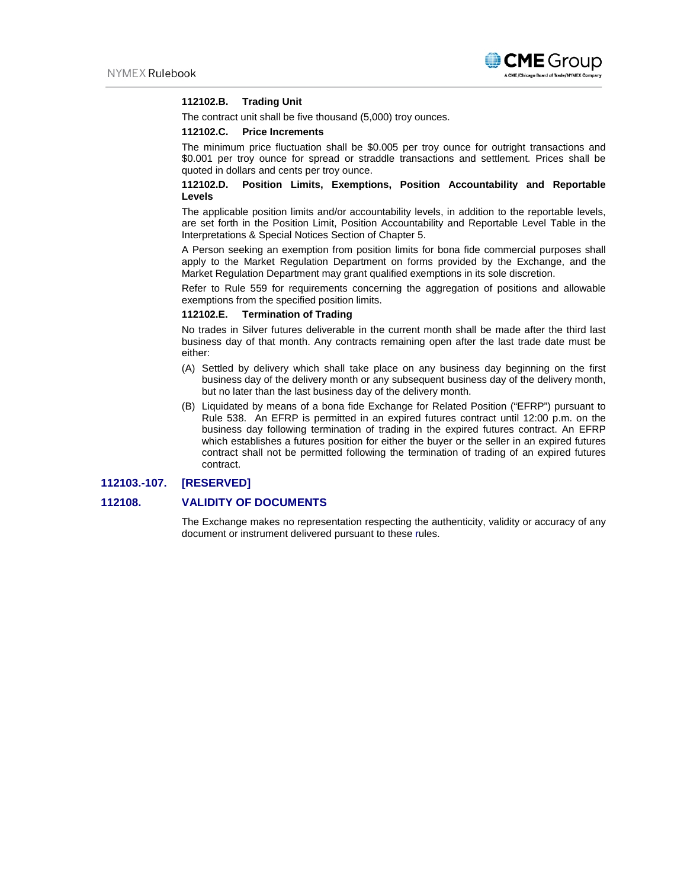

## **112102.B. Trading Unit**

The contract unit shall be five thousand (5,000) troy ounces.

#### **112102.C. Price Increments**

The minimum price fluctuation shall be \$0.005 per troy ounce for outright transactions and \$0.001 per troy ounce for spread or straddle transactions and settlement. Prices shall be quoted in dollars and cents per troy ounce.

## **112102.D. Position Limits, Exemptions, Position Accountability and Reportable Levels**

The applicable position limits and/or accountability levels, in addition to the reportable levels, are set forth in the Position Limit, Position Accountability and Reportable Level Table in the Interpretations & Special Notices Section of Chapter 5.

A Person seeking an exemption from position limits for bona fide commercial purposes shall apply to the Market Regulation Department on forms provided by the Exchange, and the Market Regulation Department may grant qualified exemptions in its sole discretion.

Refer to Rule 559 for requirements concerning the aggregation of positions and allowable exemptions from the specified position limits.

## **112102.E. Termination of Trading**

No trades in Silver futures deliverable in the current month shall be made after the third last business day of that month. Any contracts remaining open after the last trade date must be either:

- (A) Settled by delivery which shall take place on any business day beginning on the first business day of the delivery month or any subsequent business day of the delivery month, but no later than the last business day of the delivery month.
- (B) Liquidated by means of a bona fide Exchange for Related Position ("EFRP") pursuant to Rule 538. An EFRP is permitted in an expired futures contract until 12:00 p.m. on the business day following termination of trading in the expired futures contract. An EFRP which establishes a futures position for either the buyer or the seller in an expired futures contract shall not be permitted following the termination of trading of an expired futures contract.

## **112103.-107. [RESERVED]**

## **112108. VALIDITY OF DOCUMENTS**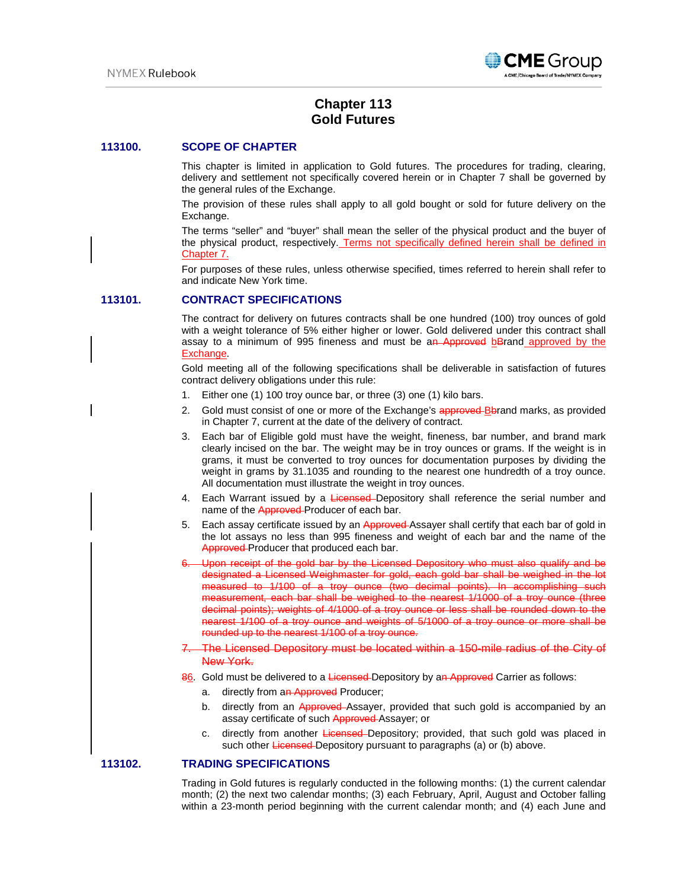

# **Chapter 113 Gold Futures**

## **113100. SCOPE OF CHAPTER**

This chapter is limited in application to Gold futures. The procedures for trading, clearing, delivery and settlement not specifically covered herein or in Chapter 7 shall be governed by the general rules of the Exchange.

The provision of these rules shall apply to all gold bought or sold for future delivery on the Exchange.

The terms "seller" and "buyer" shall mean the seller of the physical product and the buyer of the physical product, respectively. Terms not specifically defined herein shall be defined in Chapter 7.

For purposes of these rules, unless otherwise specified, times referred to herein shall refer to and indicate New York time.

### **113101. CONTRACT SPECIFICATIONS**

The contract for delivery on futures contracts shall be one hundred (100) troy ounces of gold with a weight tolerance of 5% either higher or lower. Gold delivered under this contract shall assay to a minimum of 995 fineness and must be an Approved bBrand approved by the Exchange.

Gold meeting all of the following specifications shall be deliverable in satisfaction of futures contract delivery obligations under this rule:

- 1. Either one (1) 100 troy ounce bar, or three (3) one (1) kilo bars.
- 2. Gold must consist of one or more of the Exchange's approved-Bbrand marks, as provided in Chapter 7, current at the date of the delivery of contract.
- 3. Each bar of Eligible gold must have the weight, fineness, bar number, and brand mark clearly incised on the bar. The weight may be in troy ounces or grams. If the weight is in grams, it must be converted to troy ounces for documentation purposes by dividing the weight in grams by 31.1035 and rounding to the nearest one hundredth of a troy ounce. All documentation must illustrate the weight in troy ounces.
- 4. Each Warrant issued by a Licensed-Depository shall reference the serial number and name of the Approved-Producer of each bar.
- 5. Each assay certificate issued by an Approved-Assayer shall certify that each bar of gold in the lot assays no less than 995 fineness and weight of each bar and the name of the Approved Producer that produced each bar.
- Upon receipt of the gold bar by the Licensed Depository who must also qualify and be designated a Licensed Weighmaster for gold, each gold bar shall be weighed in the lot measured to 1/100 of a troy ounce (two decimal points). In accomplishing such measurement, each bar shall be weighed to the nearest 1/1000 of a troy ounce (three decimal points); weights of 4/1000 of a troy ounce or less shall be rounded down to the nearest 1/100 of a troy ounce and weights of 5/1000 of a troy ounce or more shall be rounded up to the nearest 1/100 of a troy ounce.
- 7. The Licensed Depository must be located within a 150-mile radius of the City of New York.
- 86. Gold must be delivered to a Licensed-Depository by an Approved Carrier as follows:
	- a. directly from an Approved Producer;
	- b. directly from an Approved-Assayer, provided that such gold is accompanied by an assay certificate of such Approved Assayer; or
	- c. directly from another Licensed Depository; provided, that such gold was placed in such other Licensed-Depository pursuant to paragraphs (a) or (b) above.

## **113102. TRADING SPECIFICATIONS**

Trading in Gold futures is regularly conducted in the following months: (1) the current calendar month; (2) the next two calendar months; (3) each February, April, August and October falling within a 23-month period beginning with the current calendar month; and (4) each June and